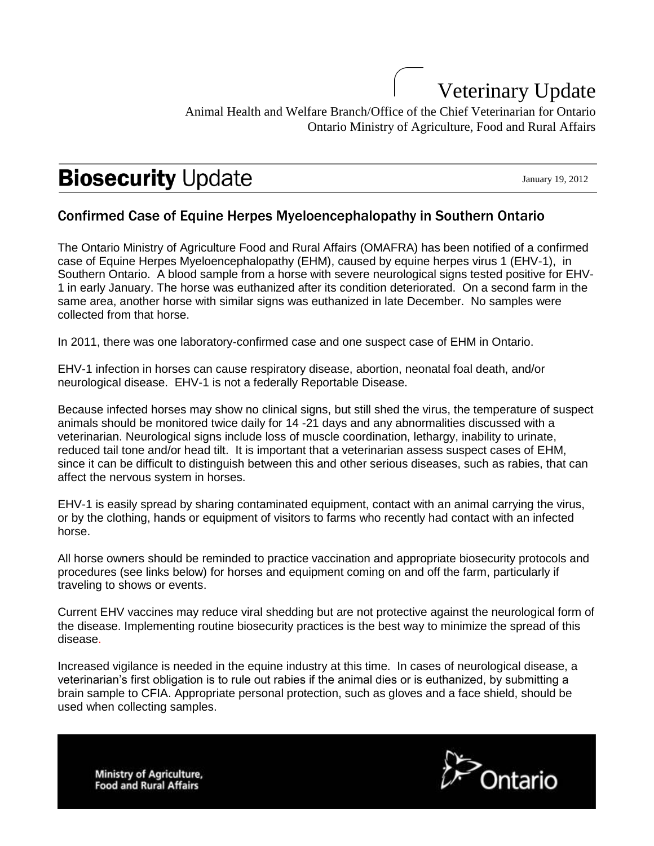## Veterinary Update Animal Health and Welfare Branch/Office of the Chief Veterinarian for Ontario Ontario Ministry of Agriculture, Food and Rural Affairs

# **Biosecurity Update**

January 19, 2012

### Confirmed Case of Equine Herpes Myeloencephalopathy in Southern Ontario

The Ontario Ministry of Agriculture Food and Rural Affairs (OMAFRA) has been notified of a confirmed case of Equine Herpes Myeloencephalopathy (EHM), caused by equine herpes virus 1 (EHV-1), in Southern Ontario. A blood sample from a horse with severe neurological signs tested positive for EHV-1 in early January. The horse was euthanized after its condition deteriorated. On a second farm in the same area, another horse with similar signs was euthanized in late December. No samples were collected from that horse.

In 2011, there was one laboratory-confirmed case and one suspect case of EHM in Ontario.

EHV-1 infection in horses can cause respiratory disease, abortion, neonatal foal death, and/or neurological disease. EHV-1 is not a federally Reportable Disease.

Because infected horses may show no clinical signs, but still shed the virus, the temperature of suspect animals should be monitored twice daily for 14 -21 days and any abnormalities discussed with a veterinarian. Neurological signs include loss of muscle coordination, lethargy, inability to urinate, reduced tail tone and/or head tilt. It is important that a veterinarian assess suspect cases of EHM, since it can be difficult to distinguish between this and other serious diseases, such as rabies, that can affect the nervous system in horses.

EHV-1 is easily spread by sharing contaminated equipment, contact with an animal carrying the virus, or by the clothing, hands or equipment of visitors to farms who recently had contact with an infected horse.

All horse owners should be reminded to practice vaccination and appropriate biosecurity protocols and procedures (see links below) for horses and equipment coming on and off the farm, particularly if traveling to shows or events.

Current EHV vaccines may reduce viral shedding but are not protective against the neurological form of the disease. Implementing routine biosecurity practices is the best way to minimize the spread of this disease.

Increased vigilance is needed in the equine industry at this time. In cases of neurological disease, a veterinarian's first obligation is to rule out rabies if the animal dies or is euthanized, by submitting a brain sample to CFIA. Appropriate personal protection, such as gloves and a face shield, should be used when collecting samples.

**Ministry of Agriculture, Food and Rural Affairs**